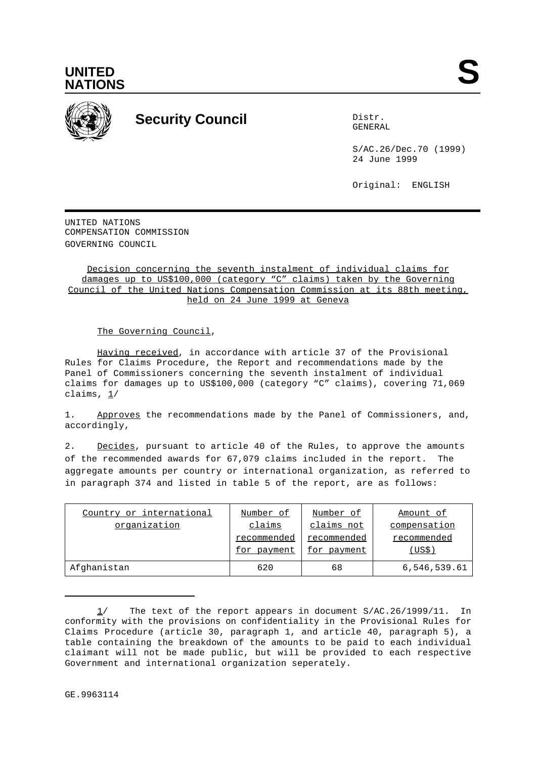



## **Security Council** Distribution Distribution

GENERAL

S/AC.26/Dec.70 (1999) 24 June 1999

Original: ENGLISH

UNITED NATIONS COMPENSATION COMMISSION GOVERNING COUNCIL

Decision concerning the seventh instalment of individual claims for damages up to US\$100,000 (category "C" claims) taken by the Governing Council of the United Nations Compensation Commission at its 88th meeting, held on 24 June 1999 at Geneva

The Governing Council,

Having received, in accordance with article 37 of the Provisional Rules for Claims Procedure, the Report and recommendations made by the Panel of Commissioners concerning the seventh instalment of individual claims for damages up to US\$100,000 (category "C" claims), covering 71,069 claims, 1/

1. Approves the recommendations made by the Panel of Commissioners, and, accordingly,

2. Decides, pursuant to article 40 of the Rules, to approve the amounts of the recommended awards for 67,079 claims included in the report. The aggregate amounts per country or international organization, as referred to in paragraph 374 and listed in table 5 of the report, are as follows:

| Country or international | Number of   | Number of   | Amount of    |
|--------------------------|-------------|-------------|--------------|
| organization             | claims      | claims not  | compensation |
|                          | recommended | recommended | recommended  |
|                          | for payment | for payment | (US\$)       |
| Afghanistan              | 620         | 68          | 6,546,539.61 |

The text of the report appears in document S/AC.26/1999/11. In conformity with the provisions on confidentiality in the Provisional Rules for Claims Procedure (article 30, paragraph 1, and article 40, paragraph 5), a table containing the breakdown of the amounts to be paid to each individual claimant will not be made public, but will be provided to each respective Government and international organization seperately.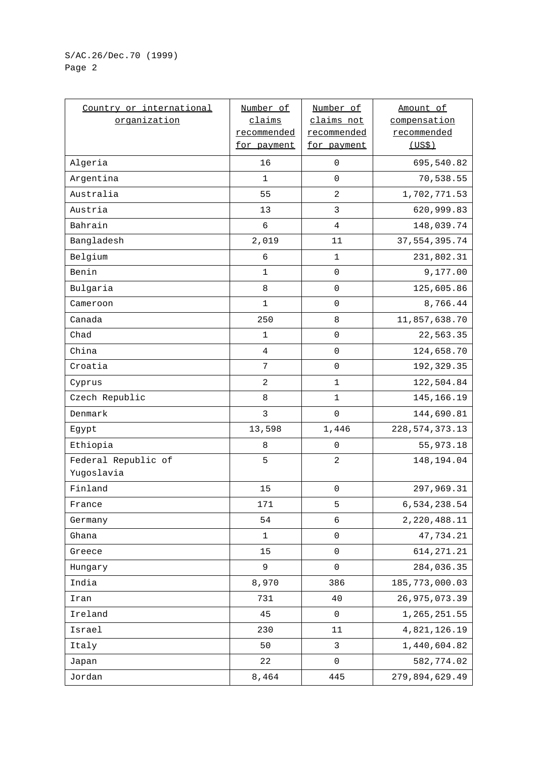## S/AC.26/Dec.70 (1999) Page 2

| Country or international<br>organization | Number of<br>claims<br>recommended<br>for payment | Number of<br>claims not<br>recommended<br>for payment | Amount of<br>compensation<br>recommended<br>(US\$) |
|------------------------------------------|---------------------------------------------------|-------------------------------------------------------|----------------------------------------------------|
| Algeria                                  | 16                                                | $\mathbf 0$                                           | 695,540.82                                         |
| Argentina                                | 1                                                 | 0                                                     | 70,538.55                                          |
| Australia                                | 55                                                | $\overline{c}$                                        | 1,702,771.53                                       |
| Austria                                  | 13                                                | 3                                                     | 620,999.83                                         |
| Bahrain                                  | 6                                                 | $\overline{4}$                                        | 148,039.74                                         |
| Bangladesh                               | 2,019                                             | 11                                                    | 37, 554, 395.74                                    |
| Belgium                                  | $\epsilon$                                        | $\mathbf 1$                                           | 231,802.31                                         |
| Benin                                    | 1                                                 | 0                                                     | 9,177.00                                           |
| Bulgaria                                 | 8                                                 | $\mathsf 0$                                           | 125,605.86                                         |
| Cameroon                                 | 1                                                 | $\mathsf 0$                                           | 8,766.44                                           |
| Canada                                   | 250                                               | $\,8\,$                                               | 11,857,638.70                                      |
| Chad                                     | 1                                                 | $\mathbf 0$                                           | 22,563.35                                          |
| China                                    | $\overline{4}$                                    | 0                                                     | 124,658.70                                         |
| Croatia                                  | $\overline{7}$                                    | $\mathbf 0$                                           | 192, 329.35                                        |
| Cyprus                                   | 2                                                 | $\mathbf 1$                                           | 122,504.84                                         |
| Czech Republic                           | 8                                                 | $\mathbf 1$                                           | 145,166.19                                         |
| Denmark                                  | $\mathbf{3}$                                      | $\mathbf 0$                                           | 144,690.81                                         |
| Egypt                                    | 13,598                                            | $1\,,\,446$                                           | 228, 574, 373. 13                                  |
| Ethiopia                                 | 8                                                 | 0                                                     | 55,973.18                                          |
| Federal Republic of<br>Yugoslavia        | 5                                                 | 2                                                     | 148,194.04                                         |
| Finland                                  | 15                                                | $\mathsf 0$                                           | 297,969.31                                         |
| France                                   | 171                                               | 5                                                     | 6,534,238.54                                       |
| Germany                                  | 54                                                | $\epsilon$                                            | 2, 220, 488.11                                     |
| Ghana                                    | $\mathbf 1$                                       | $\mathsf 0$                                           | 47,734.21                                          |
| Greece                                   | 15                                                | $\mathsf 0$                                           | 614, 271.21                                        |
| Hungary                                  | 9                                                 | $\pmb{0}$                                             | 284,036.35                                         |
| India                                    | 8,970                                             | 386                                                   | 185, 773, 000.03                                   |
| Iran                                     | 731                                               | 40                                                    | 26, 975, 073.39                                    |
| Ireland                                  | 45                                                | $\pmb{0}$                                             | 1, 265, 251.55                                     |
| Israel                                   | 230                                               | 11                                                    | 4,821,126.19                                       |
| Italy                                    | 50                                                | 3                                                     | 1,440,604.82                                       |
| Japan                                    | 22                                                | $\mathsf 0$                                           | 582,774.02                                         |
| Jordan                                   | 8,464                                             | 445                                                   | 279,894,629.49                                     |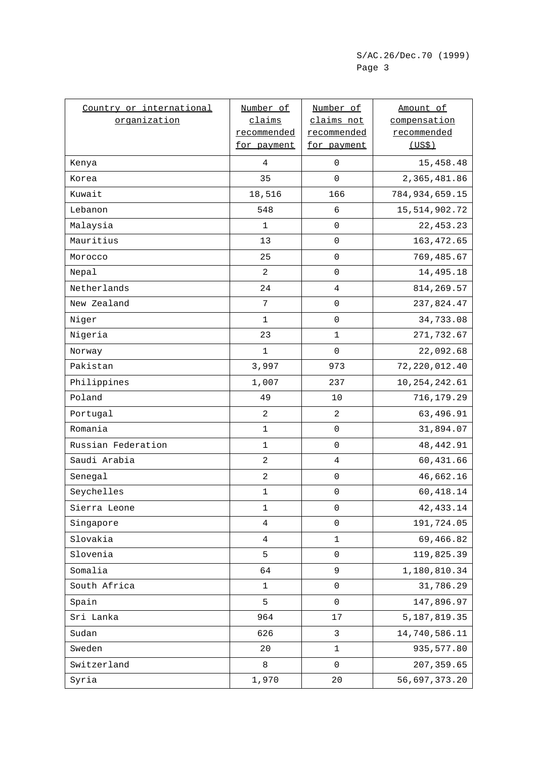| Country or international | Number of      | Number of           | Amount of        |
|--------------------------|----------------|---------------------|------------------|
| organization             | claims         | claims not          | compensation     |
|                          | recommended    | recommended         | recommended      |
|                          | for payment    | for payment         | (US\$)           |
| Kenya                    | 4              | $\mathsf 0$         | 15,458.48        |
| Korea                    | 35             | 0                   | 2,365,481.86     |
| Kuwait                   | 18,516         | 166                 | 784, 934, 659.15 |
| Lebanon                  | 548            | 6                   | 15, 514, 902. 72 |
| Malaysia                 | 1              | $\mathsf 0$         | 22, 453. 23      |
| Mauritius                | 13             | $\mathsf 0$         | 163, 472.65      |
| Morocco                  | 25             | $\mathsf 0$         | 769,485.67       |
| Nepal                    | 2              | 0                   | 14,495.18        |
| Netherlands              | 24             | 4                   | 814, 269.57      |
| New Zealand              | 7              | $\mathsf{O}\xspace$ | 237,824.47       |
| Niger                    | 1              | $\overline{0}$      | 34,733.08        |
| Nigeria                  | 23             | 1                   | 271,732.67       |
| Norway                   | $\mathbf 1$    | 0                   | 22,092.68        |
| Pakistan                 | 3,997          | 973                 | 72, 220, 012.40  |
| Philippines              | 1,007          | 237                 | 10, 254, 242.61  |
| Poland                   | 49             | 10                  | 716,179.29       |
| Portugal                 | $\overline{a}$ | $\overline{c}$      | 63,496.91        |
| Romania                  | $\mathbf 1$    | 0                   | 31,894.07        |
| Russian Federation       | $\mathbf 1$    | $\mathsf 0$         | 48, 442.91       |
| Saudi Arabia             | $\overline{c}$ | $\overline{4}$      | 60,431.66        |
| Senegal                  | 2              | $\mathsf{O}\xspace$ | 46,662.16        |
| Seychelles               | $\mathbf 1$    | $\mathsf 0$         | 60,418.14        |
| Sierra Leone             | 1              | 0                   | 42, 433.14       |
| Singapore                | $\overline{4}$ | $\mathsf 0$         | 191,724.05       |
| Slovakia                 | $\overline{4}$ | $\mathbf 1$         | 69,466.82        |
| Slovenia                 | 5              | 0                   | 119,825.39       |
| Somalia                  | 64             | 9                   | 1,180,810.34     |
| South Africa             | 1              | 0                   | 31,786.29        |
| Spain                    | 5              | $\mathsf{O}\xspace$ | 147,896.97       |
| Sri Lanka                | 964            | 17                  | 5, 187, 819.35   |
| Sudan                    | 626            | $\mathfrak{Z}$      | 14,740,586.11    |
| Sweden                   | 20             | 1                   | 935,577.80       |
| Switzerland              | 8              | 0                   | 207, 359.65      |
| Syria                    | 1,970          | 20                  | 56,697,373.20    |